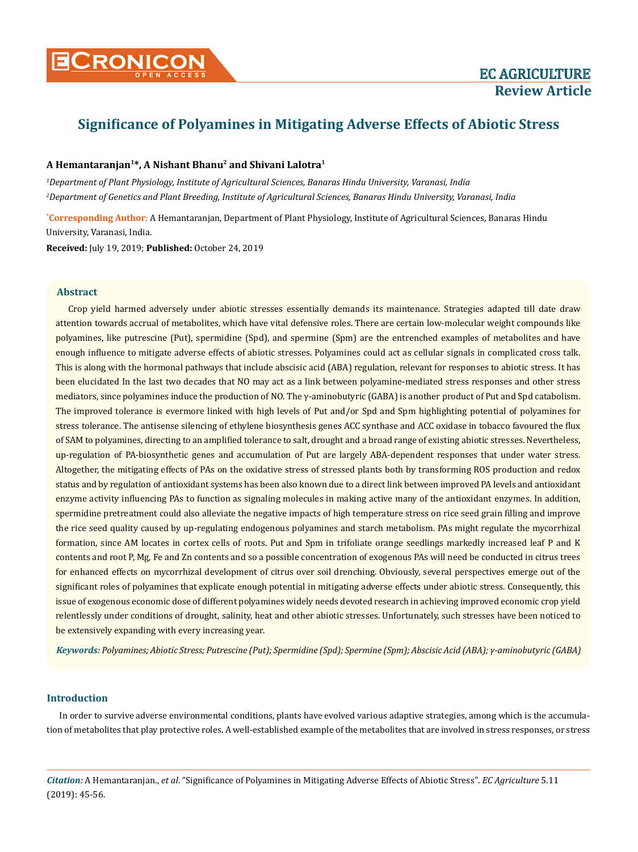

# **Significance of Polyamines in Mitigating Adverse Effects of Abiotic Stress**

## **A Hemantaranjan<sup>1</sup>\*, A Nishant Bhanu<sup>2</sup> and Shivani Lalotra<sup>1</sup>**

*1 Department of Plant Physiology, Institute of Agricultural Sciences, Banaras Hindu University, Varanasi, India 2 Department of Genetics and Plant Breeding, Institute of Agricultural Sciences, Banaras Hindu University, Varanasi, India*

**\* Corresponding Author**: A Hemantaranjan, Department of Plant Physiology, Institute of Agricultural Sciences, Banaras Hindu University, Varanasi, India.

**Received:** July 19, 2019; **Published:** October 24, 2019

## **Abstract**

Crop yield harmed adversely under abiotic stresses essentially demands its maintenance. Strategies adapted till date draw attention towards accrual of metabolites, which have vital defensive roles. There are certain low-molecular weight compounds like polyamines, like putrescine (Put), spermidine (Spd), and spermine (Spm) are the entrenched examples of metabolites and have enough influence to mitigate adverse effects of abiotic stresses. Polyamines could act as cellular signals in complicated cross talk. This is along with the hormonal pathways that include abscisic acid (ABA) regulation, relevant for responses to abiotic stress. It has been elucidated In the last two decades that NO may act as a link between polyamine-mediated stress responses and other stress mediators, since polyamines induce the production of NO. The γ-aminobutyric (GABA) is another product of Put and Spd catabolism. The improved tolerance is evermore linked with high levels of Put and/or Spd and Spm highlighting potential of polyamines for stress tolerance. The antisense silencing of ethylene biosynthesis genes ACC synthase and ACC oxidase in tobacco favoured the flux of SAM to polyamines, directing to an amplified tolerance to salt, drought and a broad range of existing abiotic stresses. Nevertheless, up-regulation of PA-biosynthetic genes and accumulation of Put are largely ABA-dependent responses that under water stress. Altogether, the mitigating effects of PAs on the oxidative stress of stressed plants both by transforming ROS production and redox status and by regulation of antioxidant systems has been also known due to a direct link between improved PA levels and antioxidant enzyme activity influencing PAs to function as signaling molecules in making active many of the antioxidant enzymes. In addition, spermidine pretreatment could also alleviate the negative impacts of high temperature stress on rice seed grain filling and improve the rice seed quality caused by up-regulating endogenous polyamines and starch metabolism. PAs might regulate the mycorrhizal formation, since AM locates in cortex cells of roots. Put and Spm in trifoliate orange seedlings markedly increased leaf P and K contents and root P, Mg, Fe and Zn contents and so a possible concentration of exogenous PAs will need be conducted in citrus trees for enhanced effects on mycorrhizal development of citrus over soil drenching. Obviously, several perspectives emerge out of the significant roles of polyamines that explicate enough potential in mitigating adverse effects under abiotic stress. Consequently, this issue of exogenous economic dose of different polyamines widely needs devoted research in achieving improved economic crop yield relentlessly under conditions of drought, salinity, heat and other abiotic stresses. Unfortunately, such stresses have been noticed to be extensively expanding with every increasing year.

*Keywords: Polyamines; Abiotic Stress; Putrescine (Put); Spermidine (Spd); Spermine (Spm); Abscisic Acid (ABA); γ-aminobutyric (GABA)*

## **Introduction**

In order to survive adverse environmental conditions, plants have evolved various adaptive strategies, among which is the accumulation of metabolites that play protective roles. A well-established example of the metabolites that are involved in stress responses, or stress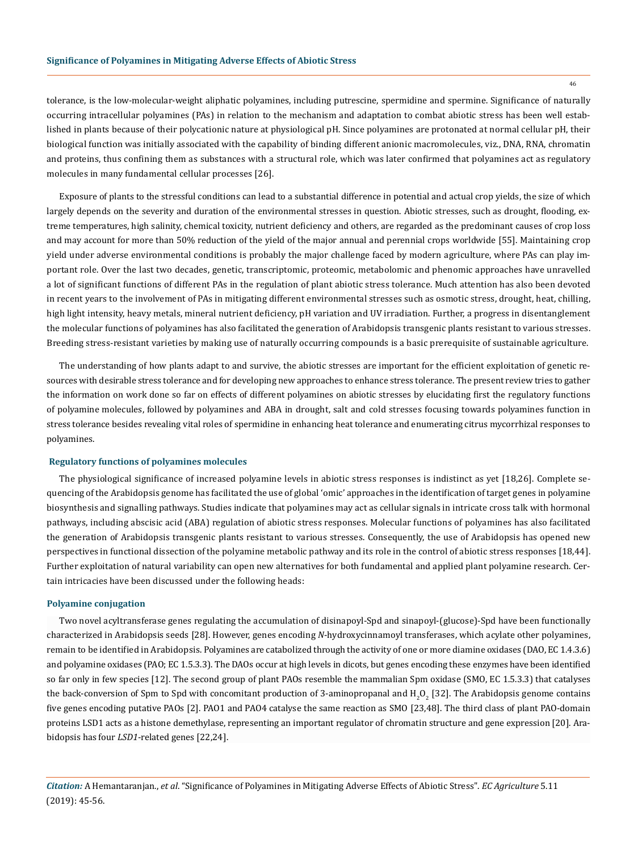tolerance, is the low-molecular-weight aliphatic polyamines, including putrescine, spermidine and spermine. Significance of naturally occurring intracellular polyamines (PAs) in relation to the mechanism and adaptation to combat abiotic stress has been well established in plants because of their polycationic nature at physiological pH. Since polyamines are protonated at normal cellular pH, their biological function was initially associated with the capability of binding different anionic macromolecules, viz., DNA, RNA, chromatin and proteins, thus confining them as substances with a structural role, which was later confirmed that polyamines act as regulatory molecules in many fundamental cellular processes [26].

Exposure of plants to the stressful conditions can lead to a substantial difference in potential and actual crop yields, the size of which largely depends on the severity and duration of the environmental stresses in question. Abiotic stresses, such as drought, flooding, extreme temperatures, high salinity, chemical toxicity, nutrient deficiency and others, are regarded as the predominant causes of crop loss and may account for more than 50% reduction of the yield of the major annual and perennial crops worldwide [55]. Maintaining crop yield under adverse environmental conditions is probably the major challenge faced by modern agriculture, where PAs can play important role. Over the last two decades, genetic, transcriptomic, proteomic, metabolomic and phenomic approaches have unravelled a lot of significant functions of different PAs in the regulation of plant abiotic stress tolerance. Much attention has also been devoted in recent years to the involvement of PAs in mitigating different environmental stresses such as osmotic stress, drought, heat, chilling, high light intensity, heavy metals, mineral nutrient deficiency, pH variation and UV irradiation. Further, a progress in disentanglement the molecular functions of polyamines has also facilitated the generation of Arabidopsis transgenic plants resistant to various stresses. Breeding stress-resistant varieties by making use of naturally occurring compounds is a basic prerequisite of sustainable agriculture.

The understanding of how plants adapt to and survive, the abiotic stresses are important for the efficient exploitation of genetic resources with desirable stress tolerance and for developing new approaches to enhance stress tolerance. The present review tries to gather the information on work done so far on effects of different polyamines on abiotic stresses by elucidating first the regulatory functions of polyamine molecules, followed by polyamines and ABA in drought, salt and cold stresses focusing towards polyamines function in stress tolerance besides revealing vital roles of spermidine in enhancing heat tolerance and enumerating citrus mycorrhizal responses to polyamines.

#### **Regulatory functions of polyamines molecules**

The physiological significance of increased polyamine levels in abiotic stress responses is indistinct as yet [18,26]. Complete sequencing of the Arabidopsis genome has facilitated the use of global 'omic' approaches in the identification of target genes in polyamine biosynthesis and signalling pathways. Studies indicate that polyamines may act as cellular signals in intricate cross talk with hormonal pathways, including abscisic acid (ABA) regulation of abiotic stress responses. Molecular functions of polyamines has also facilitated the generation of Arabidopsis transgenic plants resistant to various stresses. Consequently, the use of Arabidopsis has opened new perspectives in functional dissection of the polyamine metabolic pathway and its role in the control of abiotic stress responses [18,44]. Further exploitation of natural variability can open new alternatives for both fundamental and applied plant polyamine research. Certain intricacies have been discussed under the following heads:

## **Polyamine conjugation**

Two novel acyltransferase genes regulating the accumulation of disinapoyl-Spd and sinapoyl-(glucose)-Spd have been functionally characterized in Arabidopsis seeds [28]. However, genes encoding *N*-hydroxycinnamoyl transferases, which acylate other polyamines, remain to be identified in Arabidopsis. Polyamines are catabolized through the activity of one or more diamine oxidases (DAO, EC 1.4.3.6) and polyamine oxidases (PAO; EC 1.5.3.3). The DAOs occur at high levels in dicots, but genes encoding these enzymes have been identified so far only in few species [12]. The second group of plant PAOs resemble the mammalian Spm oxidase (SMO, EC 1.5.3.3) that catalyses the back-conversion of Spm to Spd with concomitant production of 3-aminopropanal and  $H_2O_2$  [32]. The Arabidopsis genome contains five genes encoding putative PAOs [2]. PAO1 and PAO4 catalyse the same reaction as SMO [23,48]. The third class of plant PAO-domain proteins LSD1 acts as a histone demethylase, representing an important regulator of chromatin structure and gene expression [20]. Arabidopsis has four *LSD1*-related genes [22,24].

*Citation:* A Hemantaranjan., *et al*. "Significance of Polyamines in Mitigating Adverse Effects of Abiotic Stress". *EC Agriculture* 5.11 (2019): 45-56.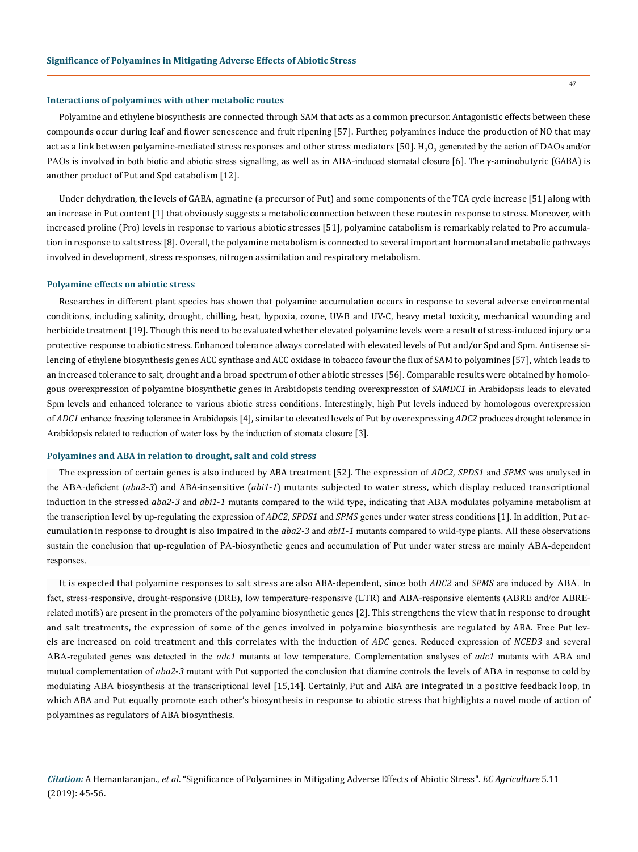#### **Interactions of polyamines with other metabolic routes**

Polyamine and ethylene biosynthesis are connected through SAM that acts as a common precursor. Antagonistic effects between these compounds occur during leaf and flower senescence and fruit ripening [57]. Further, polyamines induce the production of NO that may act as a link between polyamine-mediated stress responses and other stress mediators [50].  $\rm{H_2O_2}$  generated by the action of DAOs and/or PAOs is involved in both biotic and abiotic stress signalling, as well as in ABA-induced stomatal closure [6]. The γ-aminobutyric (GABA) is another product of Put and Spd catabolism [12].

Under dehydration, the levels of GABA, agmatine (a precursor of Put) and some components of the TCA cycle increase [51] along with an increase in Put content [1] that obviously suggests a metabolic connection between these routes in response to stress. Moreover, with increased proline (Pro) levels in response to various abiotic stresses [51], polyamine catabolism is remarkably related to Pro accumulation in response to salt stress [8]. Overall, the polyamine metabolism is connected to several important hormonal and metabolic pathways involved in development, stress responses, nitrogen assimilation and respiratory metabolism.

#### **Polyamine effects on abiotic stress**

Researches in different plant species has shown that polyamine accumulation occurs in response to several adverse environmental conditions, including salinity, drought, chilling, heat, hypoxia, ozone, UV-B and UV-C, heavy metal toxicity, mechanical wounding and herbicide treatment [19]. Though this need to be evaluated whether elevated polyamine levels were a result of stress-induced injury or a protective response to abiotic stress. Enhanced tolerance always correlated with elevated levels of Put and/or Spd and Spm. Antisense silencing of ethylene biosynthesis genes ACC synthase and ACC oxidase in tobacco favour the flux of SAM to polyamines [57], which leads to an increased tolerance to salt, drought and a broad spectrum of other abiotic stresses [56]. Comparable results were obtained by homologous overexpression of polyamine biosynthetic genes in Arabidopsis tending overexpression of *SAMDC1* in Arabidopsis leads to elevated Spm levels and enhanced tolerance to various abiotic stress conditions. Interestingly, high Put levels induced by homologous overexpression of *ADC1* enhance freezing tolerance in Arabidopsis [4], similar to elevated levels of Put by overexpressing *ADC2* produces drought tolerance in Arabidopsis related to reduction of water loss by the induction of stomata closure [3].

#### **Polyamines and ABA in relation to drought, salt and cold stress**

The expression of certain genes is also induced by ABA treatment [52]. The expression of *ADC2*, *SPDS1* and *SPMS* was analysed in the ABA-deficient (*aba2*-*3*) and ABA-insensitive (*abi1*-*1*) mutants subjected to water stress, which display reduced transcriptional induction in the stressed *aba2*-*3* and *abi1*-*1* mutants compared to the wild type, indicating that ABA modulates polyamine metabolism at the transcription level by up-regulating the expression of *ADC2*, *SPDS1* and *SPMS* genes under water stress conditions [1]. In addition, Put accumulation in response to drought is also impaired in the *aba2*-*3* and *abi1*-*1* mutants compared to wild-type plants. All these observations sustain the conclusion that up-regulation of PA-biosynthetic genes and accumulation of Put under water stress are mainly ABA-dependent responses.

It is expected that polyamine responses to salt stress are also ABA-dependent, since both *ADC2* and *SPMS* are induced by ABA. In fact, stress-responsive, drought-responsive (DRE), low temperature-responsive (LTR) and ABA-responsive elements (ABRE and/or ABRErelated motifs) are present in the promoters of the polyamine biosynthetic genes [2]. This strengthens the view that in response to drought and salt treatments, the expression of some of the genes involved in polyamine biosynthesis are regulated by ABA. Free Put levels are increased on cold treatment and this correlates with the induction of *ADC* genes. Reduced expression of *NCED3* and several ABA-regulated genes was detected in the *adc1* mutants at low temperature. Complementation analyses of *adc1* mutants with ABA and mutual complementation of *aba2*-*3* mutant with Put supported the conclusion that diamine controls the levels of ABA in response to cold by modulating ABA biosynthesis at the transcriptional level [15,14]. Certainly, Put and ABA are integrated in a positive feedback loop, in which ABA and Put equally promote each other's biosynthesis in response to abiotic stress that highlights a novel mode of action of polyamines as regulators of ABA biosynthesis.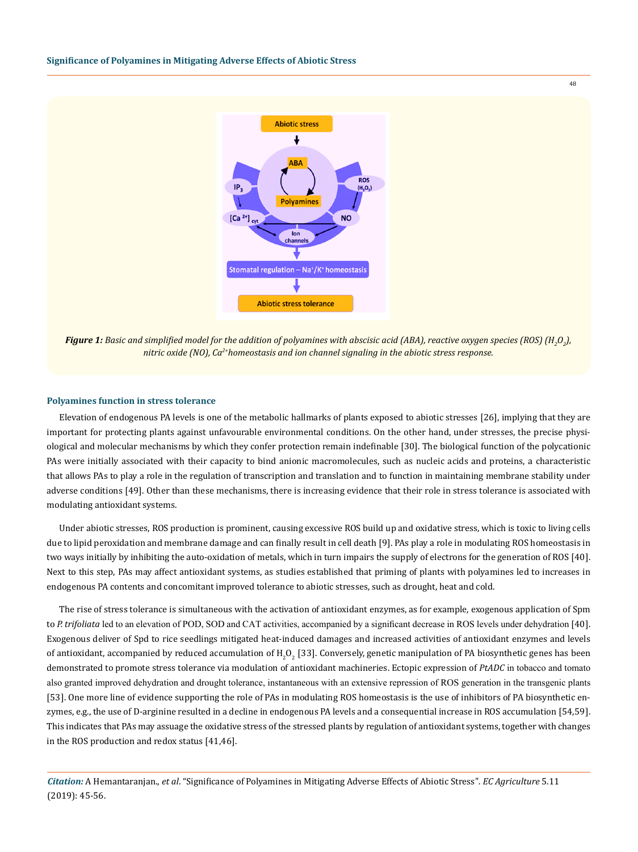

*Figure 1: Basic and simplified model for the addition of polyamines with abscisic acid (ABA), reactive oxygen species (ROS) (H<sup>2</sup> O2 ), nitric oxide (NO), Ca2+homeostasis and ion channel signaling in the abiotic stress response.*

## **Polyamines function in stress tolerance**

Elevation of endogenous PA levels is one of the metabolic hallmarks of plants exposed to abiotic stresses [26], implying that they are important for protecting plants against unfavourable environmental conditions. On the other hand, under stresses, the precise physiological and molecular mechanisms by which they confer protection remain indefinable [30]. The biological function of the polycationic PAs were initially associated with their capacity to bind anionic macromolecules, such as nucleic acids and proteins, a characteristic that allows PAs to play a role in the regulation of transcription and translation and to function in maintaining membrane stability under adverse conditions [49]. Other than these mechanisms, there is increasing evidence that their role in stress tolerance is associated with modulating antioxidant systems.

Under abiotic stresses, ROS production is prominent, causing excessive ROS build up and oxidative stress, which is toxic to living cells due to lipid peroxidation and membrane damage and can finally result in cell death [9]. PAs play a role in modulating ROS homeostasis in two ways initially by inhibiting the auto-oxidation of metals, which in turn impairs the supply of electrons for the generation of ROS [40]. Next to this step, PAs may affect antioxidant systems, as studies established that priming of plants with polyamines led to increases in endogenous PA contents and concomitant improved tolerance to abiotic stresses, such as drought, heat and cold.

The rise of stress tolerance is simultaneous with the activation of antioxidant enzymes, as for example, exogenous application of Spm to *P. trifoliata* led to an elevation of POD, SOD and CAT activities, accompanied by a significant decrease in ROS levels under dehydration [40]. Exogenous deliver of Spd to rice seedlings mitigated heat-induced damages and increased activities of antioxidant enzymes and levels of antioxidant, accompanied by reduced accumulation of  $\rm H_2O_2$  [33]. Conversely, genetic manipulation of PA biosynthetic genes has been demonstrated to promote stress tolerance via modulation of antioxidant machineries. Ectopic expression of *PtADC* in tobacco and tomato also granted improved dehydration and drought tolerance, instantaneous with an extensive repression of ROS generation in the transgenic plants [53]. One more line of evidence supporting the role of PAs in modulating ROS homeostasis is the use of inhibitors of PA biosynthetic enzymes, e.g., the use of D-arginine resulted in a decline in endogenous PA levels and a consequential increase in ROS accumulation [54,59]. This indicates that PAs may assuage the oxidative stress of the stressed plants by regulation of antioxidant systems, together with changes in the ROS production and redox status [41,46].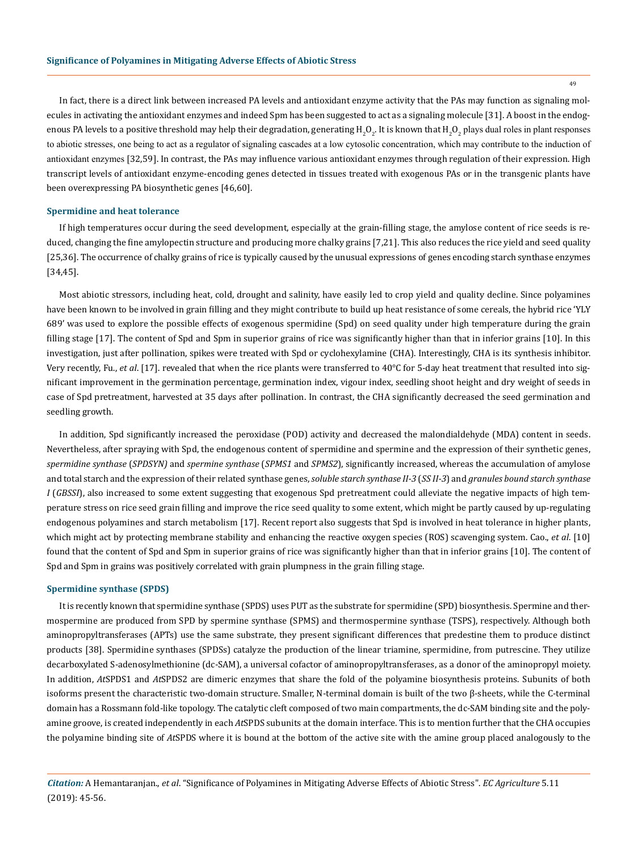49

In fact, there is a direct link between increased PA levels and antioxidant enzyme activity that the PAs may function as signaling molecules in activating the antioxidant enzymes and indeed Spm has been suggested to act as a signaling molecule [31]. A boost in the endogenous PA levels to a positive threshold may help their degradation, generating  $\rm H_2O_2$ . It is known that  $\rm H_2O_2$  plays dual roles in plant responses to abiotic stresses, one being to act as a regulator of signaling cascades at a low cytosolic concentration, which may contribute to the induction of antioxidant enzymes [32,59]. In contrast, the PAs may influence various antioxidant enzymes through regulation of their expression. High transcript levels of antioxidant enzyme-encoding genes detected in tissues treated with exogenous PAs or in the transgenic plants have been overexpressing PA biosynthetic genes [46,60].

#### **Spermidine and heat tolerance**

If high temperatures occur during the seed development, especially at the grain-filling stage, the amylose content of rice seeds is reduced, changing the fine amylopectin structure and producing more chalky grains [7,21]. This also reduces the rice yield and seed quality [25,36]. The occurrence of chalky grains of rice is typically caused by the unusual expressions of genes encoding starch synthase enzymes [34,45].

Most abiotic stressors, including heat, cold, drought and salinity, have easily led to crop yield and quality decline. Since polyamines have been known to be involved in grain filling and they might contribute to build up heat resistance of some cereals, the hybrid rice 'YLY 689' was used to explore the possible effects of exogenous spermidine (Spd) on seed quality under high temperature during the grain filling stage [17]. The content of Spd and Spm in superior grains of rice was significantly higher than that in inferior grains [10]. In this investigation, just after pollination, spikes were treated with Spd or cyclohexylamine (CHA). Interestingly, CHA is its synthesis inhibitor. Very recently, Fu., et al. [17]. revealed that when the rice plants were transferred to 40°C for 5-day heat treatment that resulted into significant improvement in the germination percentage, germination index, vigour index, seedling shoot height and dry weight of seeds in case of Spd pretreatment, harvested at 35 days after pollination. In contrast, the CHA significantly decreased the seed germination and seedling growth.

In addition, Spd significantly increased the peroxidase (POD) activity and decreased the malondialdehyde (MDA) content in seeds. Nevertheless, after spraying with Spd, the endogenous content of spermidine and spermine and the expression of their synthetic genes, *spermidine synthase* (*SPDSYN)* and *spermine synthase* (*SPMS1* and *SPMS2*), significantly increased, whereas the accumulation of amylose and total starch and the expression of their related synthase genes, *soluble starch synthase II-3* (*SS II-3*) and *granules bound starch synthase I* (*GBSSI*), also increased to some extent suggesting that exogenous Spd pretreatment could alleviate the negative impacts of high temperature stress on rice seed grain filling and improve the rice seed quality to some extent, which might be partly caused by up-regulating endogenous polyamines and starch metabolism [17]. Recent report also suggests that Spd is involved in heat tolerance in higher plants, which might act by protecting membrane stability and enhancing the reactive oxygen species (ROS) scavenging system. Cao., *et al*. [10] found that the content of Spd and Spm in superior grains of rice was significantly higher than that in inferior grains [10]. The content of Spd and Spm in grains was positively correlated with grain plumpness in the grain filling stage.

#### **Spermidine synthase (SPDS)**

It is recently known that spermidine synthase (SPDS) uses PUT as the substrate for spermidine (SPD) biosynthesis. Spermine and thermospermine are produced from SPD by spermine synthase (SPMS) and thermospermine synthase (TSPS), respectively. Although both aminopropyltransferases (APTs) use the same substrate, they present significant differences that predestine them to produce distinct products [38]. Spermidine synthases (SPDSs) catalyze the production of the linear triamine, spermidine, from putrescine. They utilize decarboxylated S-adenosylmethionine (dc-SAM), a universal cofactor of aminopropyltransferases, as a donor of the aminopropyl moiety. In addition, *At*SPDS1 and *At*SPDS2 are dimeric enzymes that share the fold of the polyamine biosynthesis proteins. Subunits of both isoforms present the characteristic two-domain structure. Smaller, N-terminal domain is built of the two β-sheets, while the C-terminal domain has a Rossmann fold-like topology. The catalytic cleft composed of two main compartments, the dc-SAM binding site and the polyamine groove, is created independently in each *At*SPDS subunits at the domain interface. This is to mention further that the CHA occupies the polyamine binding site of *At*SPDS where it is bound at the bottom of the active site with the amine group placed analogously to the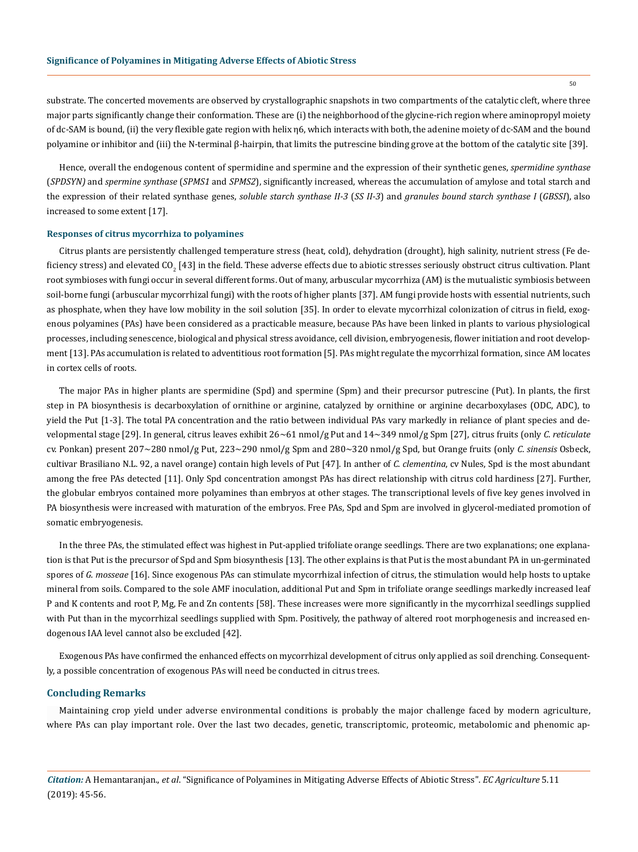substrate. The concerted movements are observed by crystallographic snapshots in two compartments of the catalytic cleft, where three major parts significantly change their conformation. These are (i) the neighborhood of the glycine-rich region where aminopropyl moiety of dc-SAM is bound, (ii) the very flexible gate region with helix η6, which interacts with both, the adenine moiety of dc-SAM and the bound polyamine or inhibitor and (iii) the N-terminal β-hairpin, that limits the putrescine binding grove at the bottom of the catalytic site [39].

Hence, overall the endogenous content of spermidine and spermine and the expression of their synthetic genes, *spermidine synthase* (*SPDSYN)* and *spermine synthase* (*SPMS1* and *SPMS2*), significantly increased, whereas the accumulation of amylose and total starch and the expression of their related synthase genes, *soluble starch synthase II-3* (*SS II-3*) and *granules bound starch synthase I* (*GBSSI*), also increased to some extent [17].

#### **Responses of citrus mycorrhiza to polyamines**

Citrus plants are persistently challenged temperature stress (heat, cold), dehydration (drought), high salinity, nutrient stress (Fe deficiency stress) and elevated CO<sub>2</sub> [43] in the field. These adverse effects due to abiotic stresses seriously obstruct citrus cultivation. Plant root symbioses with fungi occur in several different forms. Out of many, arbuscular mycorrhiza (AM) is the mutualistic symbiosis between soil-borne fungi (arbuscular mycorrhizal fungi) with the roots of higher plants [37]. AM fungi provide hosts with essential nutrients, such as phosphate, when they have low mobility in the soil solution [35]. In order to elevate mycorrhizal colonization of citrus in field, exogenous polyamines (PAs) have been considered as a practicable measure, because PAs have been linked in plants to various physiological processes, including senescence, biological and physical stress avoidance, cell division, embryogenesis, flower initiation and root development [13]. PAs accumulation is related to adventitious root formation [5]. PAs might regulate the mycorrhizal formation, since AM locates in cortex cells of roots.

The major PAs in higher plants are spermidine (Spd) and spermine (Spm) and their precursor putrescine (Put). In plants, the first step in PA biosynthesis is decarboxylation of ornithine or arginine, catalyzed by ornithine or arginine decarboxylases (ODC, ADC), to yield the Put [1-3]. The total PA concentration and the ratio between individual PAs vary markedly in reliance of plant species and developmental stage [29]. In general, citrus leaves exhibit 26~61 nmol/g Put and 14~349 nmol/g Spm [27], citrus fruits (only *C*. *reticulate* cv. Ponkan) present 207~280 nmol/g Put, 223~290 nmol/g Spm and 280~320 nmol/g Spd, but Orange fruits (only *C*. *sinensis* Osbeck, cultivar Brasiliano N.L. 92, a navel orange) contain high levels of Put [47]. In anther of *C*. *clementina*, cv Nules, Spd is the most abundant among the free PAs detected [11]. Only Spd concentration amongst PAs has direct relationship with citrus cold hardiness [27]. Further, the globular embryos contained more polyamines than embryos at other stages. The transcriptional levels of five key genes involved in PA biosynthesis were increased with maturation of the embryos. Free PAs, Spd and Spm are involved in glycerol-mediated promotion of somatic embryogenesis.

In the three PAs, the stimulated effect was highest in Put-applied trifoliate orange seedlings. There are two explanations; one explanation is that Put is the precursor of Spd and Spm biosynthesis [13]. The other explains is that Put is the most abundant PA in un-germinated spores of *G*. *mosseae* [16]. Since exogenous PAs can stimulate mycorrhizal infection of citrus, the stimulation would help hosts to uptake mineral from soils. Compared to the sole AMF inoculation, additional Put and Spm in trifoliate orange seedlings markedly increased leaf P and K contents and root P, Mg, Fe and Zn contents [58]. These increases were more significantly in the mycorrhizal seedlings supplied with Put than in the mycorrhizal seedlings supplied with Spm. Positively, the pathway of altered root morphogenesis and increased endogenous IAA level cannot also be excluded [42].

Exogenous PAs have confirmed the enhanced effects on mycorrhizal development of citrus only applied as soil drenching. Consequently, a possible concentration of exogenous PAs will need be conducted in citrus trees.

## **Concluding Remarks**

Maintaining crop yield under adverse environmental conditions is probably the major challenge faced by modern agriculture, where PAs can play important role. Over the last two decades, genetic, transcriptomic, proteomic, metabolomic and phenomic ap-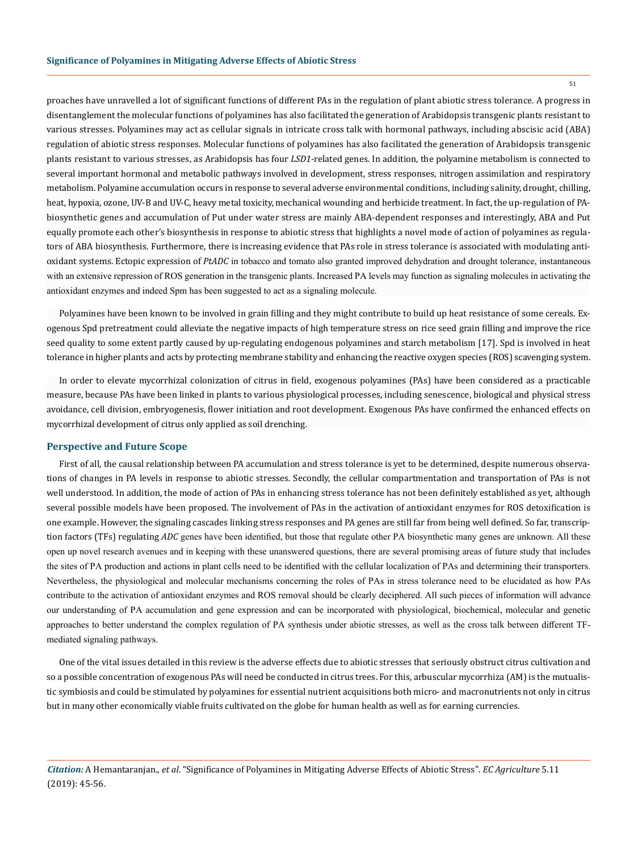proaches have unravelled a lot of significant functions of different PAs in the regulation of plant abiotic stress tolerance. A progress in disentanglement the molecular functions of polyamines has also facilitated the generation of Arabidopsis transgenic plants resistant to various stresses. Polyamines may act as cellular signals in intricate cross talk with hormonal pathways, including abscisic acid (ABA) regulation of abiotic stress responses. Molecular functions of polyamines has also facilitated the generation of Arabidopsis transgenic plants resistant to various stresses, as Arabidopsis has four *LSD1*-related genes. In addition, the polyamine metabolism is connected to several important hormonal and metabolic pathways involved in development, stress responses, nitrogen assimilation and respiratory metabolism. Polyamine accumulation occurs in response to several adverse environmental conditions, including salinity, drought, chilling, heat, hypoxia, ozone, UV-B and UV-C, heavy metal toxicity, mechanical wounding and herbicide treatment. In fact, the up-regulation of PAbiosynthetic genes and accumulation of Put under water stress are mainly ABA-dependent responses and interestingly, ABA and Put equally promote each other's biosynthesis in response to abiotic stress that highlights a novel mode of action of polyamines as regulators of ABA biosynthesis. Furthermore, there is increasing evidence that PAs role in stress tolerance is associated with modulating antioxidant systems. Ectopic expression of *PtADC* in tobacco and tomato also granted improved dehydration and drought tolerance, instantaneous with an extensive repression of ROS generation in the transgenic plants. Increased PA levels may function as signaling molecules in activating the antioxidant enzymes and indeed Spm has been suggested to act as a signaling molecule.

Polyamines have been known to be involved in grain filling and they might contribute to build up heat resistance of some cereals. Exogenous Spd pretreatment could alleviate the negative impacts of high temperature stress on rice seed grain filling and improve the rice seed quality to some extent partly caused by up-regulating endogenous polyamines and starch metabolism [17]. Spd is involved in heat tolerance in higher plants and acts by protecting membrane stability and enhancing the reactive oxygen species (ROS) scavenging system.

In order to elevate mycorrhizal colonization of citrus in field, exogenous polyamines (PAs) have been considered as a practicable measure, because PAs have been linked in plants to various physiological processes, including senescence, biological and physical stress avoidance, cell division, embryogenesis, flower initiation and root development. Exogenous PAs have confirmed the enhanced effects on mycorrhizal development of citrus only applied as soil drenching.

## **Perspective and Future Scope**

First of all, the causal relationship between PA accumulation and stress tolerance is yet to be determined, despite numerous observations of changes in PA levels in response to abiotic stresses. Secondly, the cellular compartmentation and transportation of PAs is not well understood. In addition, the mode of action of PAs in enhancing stress tolerance has not been definitely established as yet, although several possible models have been proposed. The involvement of PAs in the activation of antioxidant enzymes for ROS detoxification is one example. However, the signaling cascades linking stress responses and PA genes are still far from being well defined. So far, transcription factors (TFs) regulating *ADC* genes have been identified, but those that regulate other PA biosynthetic many genes are unknown. All these open up novel research avenues and in keeping with these unanswered questions, there are several promising areas of future study that includes the sites of PA production and actions in plant cells need to be identified with the cellular localization of PAs and determining their transporters. Nevertheless, the physiological and molecular mechanisms concerning the roles of PAs in stress tolerance need to be elucidated as how PAs contribute to the activation of antioxidant enzymes and ROS removal should be clearly deciphered. All such pieces of information will advance our understanding of PA accumulation and gene expression and can be incorporated with physiological, biochemical, molecular and genetic approaches to better understand the complex regulation of PA synthesis under abiotic stresses, as well as the cross talk between different TFmediated signaling pathways.

One of the vital issues detailed in this review is the adverse effects due to abiotic stresses that seriously obstruct citrus cultivation and so a possible concentration of exogenous PAs will need be conducted in citrus trees. For this, arbuscular mycorrhiza (AM) is the mutualistic symbiosis and could be stimulated by polyamines for essential nutrient acquisitions both micro- and macronutrients not only in citrus but in many other economically viable fruits cultivated on the globe for human health as well as for earning currencies.

*Citation:* A Hemantaranjan., *et al*. "Significance of Polyamines in Mitigating Adverse Effects of Abiotic Stress". *EC Agriculture* 5.11 (2019): 45-56.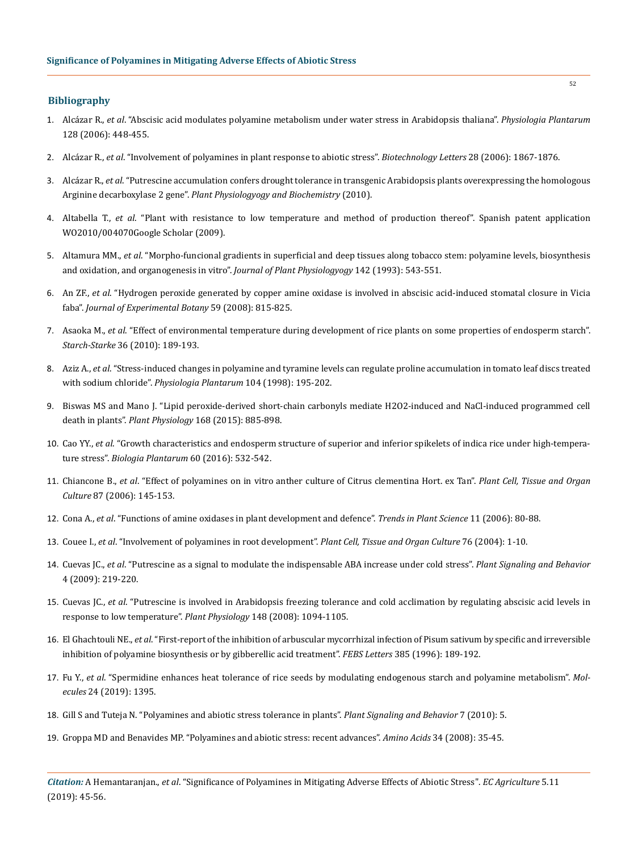## **Bibliography**

- 1. Alcázar R., *et al*[. "Abscisic acid modulates polyamine metabolism under water stress in Arabidopsis thaliana".](https://onlinelibrary.wiley.com/doi/full/10.1111/j.1399-3054.2006.00780.x) *Physiologia Plantarum* [128 \(2006\): 448-455.](https://onlinelibrary.wiley.com/doi/full/10.1111/j.1399-3054.2006.00780.x)
- 2. Alcázar R., *et al*[. "Involvement of polyamines in plant response to abiotic stress".](https://www.ncbi.nlm.nih.gov/pubmed/17028780) *Biotechnology Letters* 28 (2006): 1867-1876.
- 3. Alcázar R., *et al*[. "Putrescine accumulation confers drought tolerance in transgenic Arabidopsis plants overexpressing the homologous](doi:%20%2010.1016/j.plphy.2010.02.002) Arginine decarboxylase 2 gene". *[Plant Physiologyogy and Biochemistry](doi:%20%2010.1016/j.plphy.2010.02.002)* (2010).
- 4. Altabella T., *et al*. "Plant with resistance to low temperature and method of production thereof". Spanish patent application WO2010/004070Google Scholar (2009).
- 5. Altamura MM., *et al*[. "Morpho-funcional gradients in superficial and deep tissues along tobacco stem: polyamine levels, biosynthesis](https://www.sciencedirect.com/science/article/pii/S0176161711803962) [and oxidation, and organogenesis in vitro".](https://www.sciencedirect.com/science/article/pii/S0176161711803962) *Journal of Plant Physiologyogy* 142 (1993): 543-551.
- 6. An ZF., *et al*[. "Hydrogen peroxide generated by copper amine oxidase is involved in abscisic acid-induced stomatal closure in Vicia](https://www.ncbi.nlm.nih.gov/pubmed/18272918) faba". *[Journal of Experimental Botany](https://www.ncbi.nlm.nih.gov/pubmed/18272918)* 59 (2008): 815-825.
- 7. Asaoka M., *et al*[. "Effect of environmental temperature during development of rice plants on some properties of endosperm starch".](https://onlinelibrary.wiley.com/doi/abs/10.1002/star.19840360602) *Starch-Starke* [36 \(2010\): 189-193.](https://onlinelibrary.wiley.com/doi/abs/10.1002/star.19840360602)
- 8. Aziz A., *et al*[. "Stress-induced changes in polyamine and tyramine levels can regulate proline accumulation in tomato leaf discs treated](https://onlinelibrary.wiley.com/doi/abs/10.1034/j.1399-3054.1998.1040207.x) with sodium chloride". *[Physiologia Plantarum](https://onlinelibrary.wiley.com/doi/abs/10.1034/j.1399-3054.1998.1040207.x)* 104 (1998): 195-202.
- 9. [Biswas MS and Mano J. "Lipid peroxide-derived short-chain carbonyls mediate H2O2-induced and NaCl-induced programmed cell](http://www.plantphysiol.org/content/168/3/885) death in plants". *Plant Physiology* [168 \(2015\): 885-898.](http://www.plantphysiol.org/content/168/3/885)
- 10. Cao YY., *et al*[. "Growth characteristics and endosperm structure of superior and inferior spikelets of indica rice under high-tempera](https://pubag.nal.usda.gov/catalog/5371514)ture stress". *[Biologia Plantarum](https://pubag.nal.usda.gov/catalog/5371514)* 60 (2016): 532-542.
- 11. Chiancone B., *et al*[. "Effect of polyamines on in vitro anther culture of Citrus clementina Hort. ex Tan".](https://link.springer.com/article/10.1007/s11240-006-9149-4) *Plant Cell, Tissue and Organ Culture* [87 \(2006\): 145-153.](https://link.springer.com/article/10.1007/s11240-006-9149-4)
- 12. Cona A., *et al*[. "Functions of amine oxidases in plant development and defence".](https://www.ncbi.nlm.nih.gov/pubmed/16406305) *Trends in Plant Science* 11 (2006): 80-88.
- 13. Couee I., *et al*[. "Involvement of polyamines in root development".](https://link.springer.com/article/10.1023/A:1025895731017) *Plant Cell, Tissue and Organ Culture* 76 (2004): 1-10.
- 14. Cuevas JC., *et al*[. "Putrescine as a signal to modulate the indispensable ABA increase under cold stress".](https://www.ncbi.nlm.nih.gov/pmc/articles/PMC2652534/) *Plant Signaling and Behavior*  [4 \(2009\): 219-220.](https://www.ncbi.nlm.nih.gov/pmc/articles/PMC2652534/)
- 15. Cuevas JC., *et al*[. "Putrescine is involved in Arabidopsis freezing tolerance and cold acclimation by regulating abscisic acid levels in](https://www.ncbi.nlm.nih.gov/pubmed/18701673) [response to low temperature".](https://www.ncbi.nlm.nih.gov/pubmed/18701673) *Plant Physiology* 148 (2008): 1094-1105.
- 16. El Ghachtouli NE., et al. "First-report of the inhibition of arbuscular mycorrhizal infection of Pisum sativum by specific and irreversible [inhibition of polyamine biosynthesis or by gibberellic acid treatment".](https://www.ncbi.nlm.nih.gov/pubmed/8647248) *FEBS Letters* 385 (1996): 189-192.
- 17. Fu Y., *et al*[. "Spermidine enhances heat tolerance of rice seeds by modulating endogenous starch and polyamine metabolism".](doi:%2010.3390/molecules24071395) *Molecules* [24 \(2019\): 1395.](doi:%2010.3390/molecules24071395)
- 18. [Gill S and Tuteja N. "Polyamines and abiotic stress tolerance in plants".](https://www.ncbi.nlm.nih.gov/pubmed/20592804) *Plant Signaling and Behavior* 7 (2010): 5.
- 19. [Groppa MD and Benavides MP. "Polyamines and abiotic stress: recent advances".](https://www.ncbi.nlm.nih.gov/pubmed/17356805) *Amino Acids* 34 (2008): 35-45.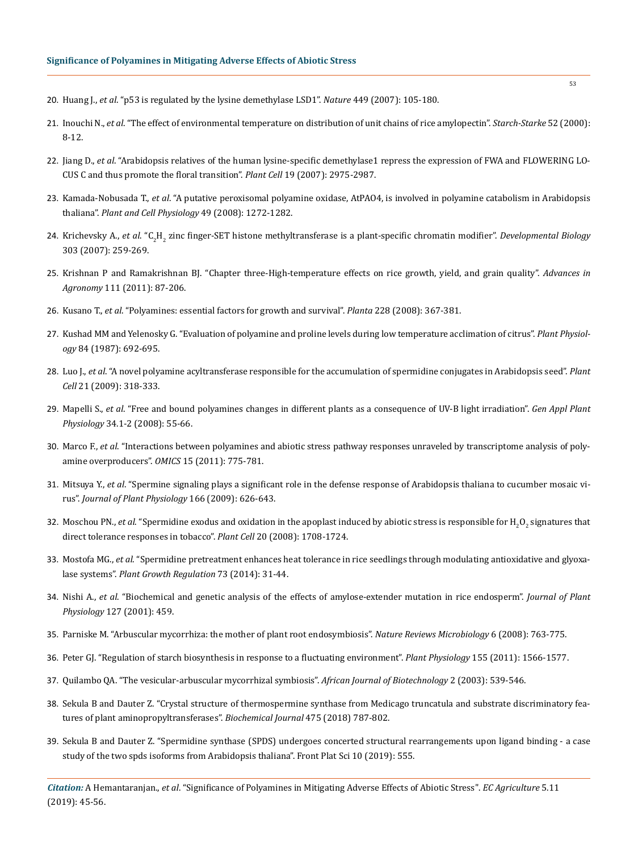- 20. Huang J., *et al*[. "p53 is regulated by the lysine demethylase LSD1".](https://www.ncbi.nlm.nih.gov/pubmed/17805299) *Nature* 449 (2007): 105-180.
- 21. Inouchi N., *et al*[. "The effect of environmental temperature on distribution of unit chains of rice amylopectin".](https://onlinelibrary.wiley.com/doi/abs/10.1002/%28SICI%291521-379X%28200001%2952%3A1%3C8%3A%3AAID-STAR8%3E3.0.CO%3B2-Q) *Starch-Starke* 52 (2000): [8-12.](https://onlinelibrary.wiley.com/doi/abs/10.1002/%28SICI%291521-379X%28200001%2952%3A1%3C8%3A%3AAID-STAR8%3E3.0.CO%3B2-Q)
- 22. Jiang D., *et al*[. "Arabidopsis relatives of the human lysine-specific demethylase1 repress the expression of FWA and FLOWERING LO](http://www.plantcell.org/content/19/10/2975)-[CUS C and thus promote the floral transition".](http://www.plantcell.org/content/19/10/2975) *Plant Cell* 19 (2007): 2975-2987.
- 23. Kamada-Nobusada T., *et al*[. "A putative peroxisomal polyamine oxidase, AtPAO4, is involved in polyamine catabolism in Arabidopsis](https://www.ncbi.nlm.nih.gov/pubmed/18703589) thaliana". *[Plant and Cell Physiology](https://www.ncbi.nlm.nih.gov/pubmed/18703589)* 49 (2008): 1272-1282.
- 24. Krichevsky A., *et al*. "C<sub>2</sub>H<sub>2</sub> [zinc finger-SET histone methyltransferase is a plant-specific chromatin modifier".](https://www.ncbi.nlm.nih.gov/pubmed/17224141) *Developmental Biology* [303 \(2007\): 259-269.](https://www.ncbi.nlm.nih.gov/pubmed/17224141)
- 25. [Krishnan P and Ramakrishnan BJ. "Chapter three-High-temperature effects on rice growth, yield, and grain quality".](https://www.cabdirect.org/cabdirect/abstract/20113146811) *Advances in Agronomy* [111 \(2011\): 87-206.](https://www.cabdirect.org/cabdirect/abstract/20113146811)
- 26. Kusano T., *et al*[. "Polyamines: essential factors for growth and survival".](https://www.ncbi.nlm.nih.gov/pubmed/18594857) *Planta* 228 (2008): 367-381.
- 27. [Kushad MM and Yelenosky G. "Evaluation of polyamine and proline levels during low temperature acclimation of citrus".](https://www.ncbi.nlm.nih.gov/pubmed/16665504) *Plant Physiology* [84 \(1987\): 692-695.](https://www.ncbi.nlm.nih.gov/pubmed/16665504)
- 28. Luo J., *et al*[. "A novel polyamine acyltransferase responsible for the accumulation of spermidine conjugates in Arabidopsis seed".](http://www.plantcell.org/content/21/1/318) *Plant Cell* [21 \(2009\): 318-333.](http://www.plantcell.org/content/21/1/318)
- 29. Mapelli S., *et al*[. "Free and bound polyamines changes in different plants as a consequence of UV-B light irradiation".](https://www.semanticscholar.org/paper/FREE-AND-BOUND-POLYAMINES-CHANGES-IN-DIFFERENT-AS-A-Mapelli-Brambilla/30e2c379b4da79f3d8a67a0b759715748aa20e0a) *Gen Appl Plant Physiology* [34.1-2 \(2008\): 55-66.](https://www.semanticscholar.org/paper/FREE-AND-BOUND-POLYAMINES-CHANGES-IN-DIFFERENT-AS-A-Mapelli-Brambilla/30e2c379b4da79f3d8a67a0b759715748aa20e0a)
- 30. Marco F., *et al*[. "Interactions between polyamines and abiotic stress pathway responses unraveled by transcriptome analysis of poly](https://www.ncbi.nlm.nih.gov/pubmed/22011340)[amine overproducers".](https://www.ncbi.nlm.nih.gov/pubmed/22011340) *OMICS* 15 (2011): 775-781.
- 31. Mitsuya Y., *et al*[. "Spermine signaling plays a significant role in the defense response of Arabidopsis thaliana to cucumber mosaic vi](https://www.ncbi.nlm.nih.gov/pubmed/18922600)rus". *Journal of Plant Physiology* [166 \(2009\): 626-643.](https://www.ncbi.nlm.nih.gov/pubmed/18922600)
- 32. Moschou PN., *et al*. "Spermidine exodus and oxidation in the apoplast induced by abiotic stress is responsible for  ${\rm H_2O_2}$  signatures that [direct tolerance responses in tobacco".](https://www.ncbi.nlm.nih.gov/pubmed/18577660) *Plant Cell* 20 (2008): 1708-1724.
- 33. Mostofa MG., *et al*[. "Spermidine pretreatment enhances heat tolerance in rice seedlings through modulating antioxidative and glyoxa](https://link.springer.com/article/10.1007/s10725-013-9865-9)lase systems". *[Plant Growth Regulation](https://link.springer.com/article/10.1007/s10725-013-9865-9)* 73 (2014): 31-44.
- 34. Nishi A., *et al*[. "Biochemical and genetic analysis of the effects of amylose-extender mutation in rice endosperm".](https://www.ncbi.nlm.nih.gov/pubmed/11598221) *Journal of Plant Physiology* [127 \(2001\): 459.](https://www.ncbi.nlm.nih.gov/pubmed/11598221)
- 35. [Parniske M. "Arbuscular mycorrhiza: the mother of plant root endosymbiosis".](https://www.ncbi.nlm.nih.gov/pubmed/18794914) *Nature Reviews Microbiology* 6 (2008): 763-775.
- 36. [Peter GJ. "Regulation of starch biosynthesis in response to a fluctuating environment".](http://www.plantphysiol.org/content/155/4/1566) *Plant Physiology* 155 (2011): 1566-1577.
- 37. [Quilambo QA. "The vesicular-arbuscular mycorrhizal symbiosis".](https://tspace.library.utoronto.ca/retrieve/3192/jb03104.pdf) *African Journal of Biotechnology* 2 (2003): 539-546.
- 38. [Sekula B and Dauter Z. "Crystal structure of thermospermine synthase from Medicago truncatula and substrate discriminatory fea](https://www.ncbi.nlm.nih.gov/pubmed/29367265)[tures of plant aminopropyltransferases".](https://www.ncbi.nlm.nih.gov/pubmed/29367265) *Biochemical Journal* 475 (2018) 787-802.
- 39. [Sekula B and Dauter Z. "Spermidine synthase \(SPDS\) undergoes concerted structural rearrangements upon ligand binding a case](doi:%2010.3389/fpls.2019.00555) [study of the two spds isoforms from Arabidopsis thaliana". Front Plat Sci 10 \(2019\): 555.](doi:%2010.3389/fpls.2019.00555)

*Citation:* A Hemantaranjan., *et al*. "Significance of Polyamines in Mitigating Adverse Effects of Abiotic Stress". *EC Agriculture* 5.11 (2019): 45-56.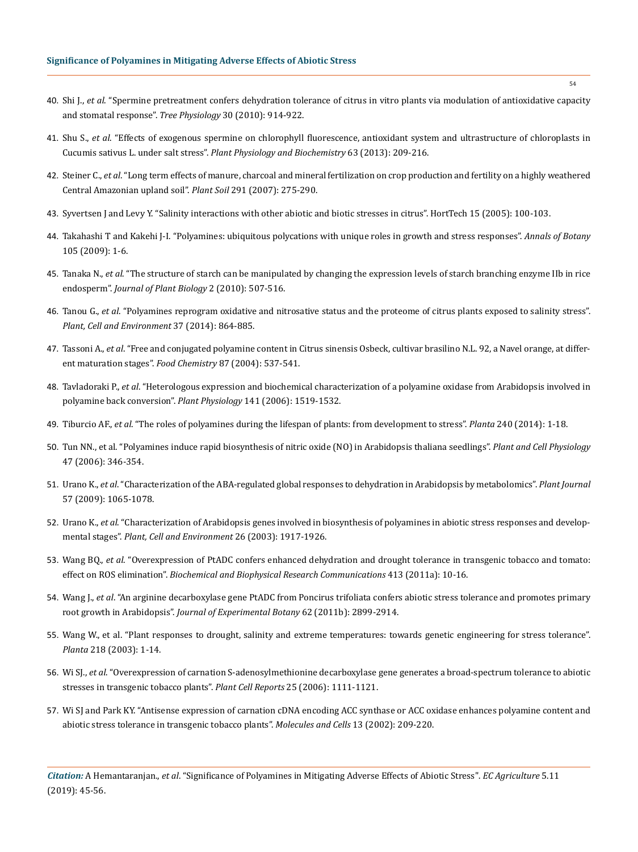- 40. Shi J., *et al*[. "Spermine pretreatment confers dehydration tolerance of citrus in vitro plants via modulation of antioxidative capacity](https://www.ncbi.nlm.nih.gov/pubmed/20462936) [and stomatal response".](https://www.ncbi.nlm.nih.gov/pubmed/20462936) *Tree Physiology* 30 (2010): 914-922.
- 41. Shu S., *et al*[. "Effects of exogenous spermine on chlorophyll fluorescence, antioxidant system and ultrastructure of chloroplasts in](https://www.sciencedirect.com/science/article/abs/pii/S0981942812003373) Cucumis sativus L. under salt stress". *[Plant Physiology and Biochemistry](https://www.sciencedirect.com/science/article/abs/pii/S0981942812003373)* 63 (2013): 209-216.
- 42. Steiner C., *et al*[. "Long term effects of manure, charcoal and mineral fertilization on crop production and fertility on a highly weathered](https://link.springer.com/article/10.1007/s11104-007-9193-9) [Central Amazonian upland soil".](https://link.springer.com/article/10.1007/s11104-007-9193-9) *Plant Soil* 291 (2007): 275-290.
- 43. [Syvertsen J and Levy Y. "Salinity interactions with other abiotic and biotic stresses in citrus". HortTech 15 \(2005\): 100-103.](https://www.researchgate.net/publication/237758962_Salinity_Interactions_with_Other_Abiotic_and_Biotic_Stresses_in_Citrus)
- 44. [Takahashi T and Kakehi J-I. "Polyamines: ubiquitous polycations with unique roles in growth and stress responses".](https://www.ncbi.nlm.nih.gov/pmc/articles/PMC2794062/) *Annals of Botany* [105 \(2009\): 1-6.](https://www.ncbi.nlm.nih.gov/pmc/articles/PMC2794062/)
- 45. Tanaka N., *et al*[. "The structure of starch can be manipulated by changing the expression levels of starch branching enzyme IIb in rice](https://www.ncbi.nlm.nih.gov/pubmed/17147623) endosperm". *[Journal of Plant Biology](https://www.ncbi.nlm.nih.gov/pubmed/17147623)* 2 (2010): 507-516.
- 46. Tanou G., *et al*[. "Polyamines reprogram oxidative and nitrosative status and the proteome of citrus plants exposed to salinity stress".](https://www.ncbi.nlm.nih.gov/pubmed/24112028) *[Plant, Cell and Environment](https://www.ncbi.nlm.nih.gov/pubmed/24112028)* 37 (2014): 864-885.
- 47. Tassoni A., *et al*[. "Free and conjugated polyamine content in Citrus sinensis Osbeck, cultivar brasilino N.L. 92, a Navel orange, at differ](https://www.infona.pl/resource/bwmeta1.element.elsevier-00beb2b9-7207-3677-838f-944dd1904126)[ent maturation stages".](https://www.infona.pl/resource/bwmeta1.element.elsevier-00beb2b9-7207-3677-838f-944dd1904126) *Food Chemistry* 87 (2004): 537-541.
- 48. Tavladoraki P., *et al*[. "Heterologous expression and biochemical characterization of a polyamine oxidase from Arabidopsis involved in](https://www.ncbi.nlm.nih.gov/pubmed/16778015) [polyamine back conversion".](https://www.ncbi.nlm.nih.gov/pubmed/16778015) *Plant Physiology* 141 (2006): 1519-1532.
- 49. Tiburcio AF., *et al*[. "The roles of polyamines during the lifespan of plants: from development to stress".](https://www.ncbi.nlm.nih.gov/pubmed/24659098) *Planta* 240 (2014): 1-18.
- 50. [Tun NN., et al. "Polyamines induce rapid biosynthesis of nitric oxide \(NO\) in Arabidopsis thaliana seedlings".](https://www.ncbi.nlm.nih.gov/pubmed/16415068) *Plant and Cell Physiology* [47 \(2006\): 346-354.](https://www.ncbi.nlm.nih.gov/pubmed/16415068)
- 51. Urano K., *et al*[. "Characterization of the ABA-regulated global responses to dehydration in Arabidopsis by metabolomics".](https://www.ncbi.nlm.nih.gov/pubmed/19036030) *Plant Journal* [57 \(2009\): 1065-1078.](https://www.ncbi.nlm.nih.gov/pubmed/19036030)
- 52. Urano K., *et al*[. "Characterization of Arabidopsis genes involved in biosynthesis of polyamines in abiotic stress responses and develop](https://onlinelibrary.wiley.com/doi/full/10.1046/j.1365-3040.2003.01108.x)mental stages". *[Plant, Cell and Environment](https://onlinelibrary.wiley.com/doi/full/10.1046/j.1365-3040.2003.01108.x)* 26 (2003): 1917-1926.
- 53. Wang BQ., *et al*[. "Overexpression of PtADC confers enhanced dehydration and drought tolerance in transgenic tobacco and tomato:](https://www.sciencedirect.com/science/article/pii/S0006291X11014008) effect on ROS elimination". *[Biochemical and Biophysical Research Communications](https://www.sciencedirect.com/science/article/pii/S0006291X11014008)* 413 (2011a): 10-16.
- 54. Wang J., *et al*[. "An arginine decarboxylase gene PtADC from Poncirus trifoliata confers abiotic stress tolerance and promotes primary](https://www.ncbi.nlm.nih.gov/pubmed/21282323) root growth in Arabidopsis". *[Journal of Experimental Botany](https://www.ncbi.nlm.nih.gov/pubmed/21282323)* 62 (2011b): 2899-2914.
- 55. [Wang W., et al. "Plant responses to drought, salinity and extreme temperatures: towards genetic engineering for stress tolerance".](https://www.ncbi.nlm.nih.gov/pubmed/14513379) *Planta* [218 \(2003\): 1-14.](https://www.ncbi.nlm.nih.gov/pubmed/14513379)
- 56. Wi SJ., *et al*[. "Overexpression of carnation S-adenosylmethionine decarboxylase gene generates a broad-spectrum tolerance to abiotic](https://www.ncbi.nlm.nih.gov/pubmed/16642382)  [stresses in transgenic tobacco plants".](https://www.ncbi.nlm.nih.gov/pubmed/16642382) *Plant Cell Reports* 25 (2006): 1111-1121.
- 57. [Wi SJ and Park KY. "Antisense expression of carnation cDNA encoding ACC synthase or ACC oxidase enhances polyamine content and](https://www.ncbi.nlm.nih.gov/pubmed/12018842) [abiotic stress tolerance in transgenic tobacco plants".](https://www.ncbi.nlm.nih.gov/pubmed/12018842) *Molecules and Cells* 13 (2002): 209-220.

*Citation:* A Hemantaranjan., *et al*. "Significance of Polyamines in Mitigating Adverse Effects of Abiotic Stress". *EC Agriculture* 5.11 (2019): 45-56.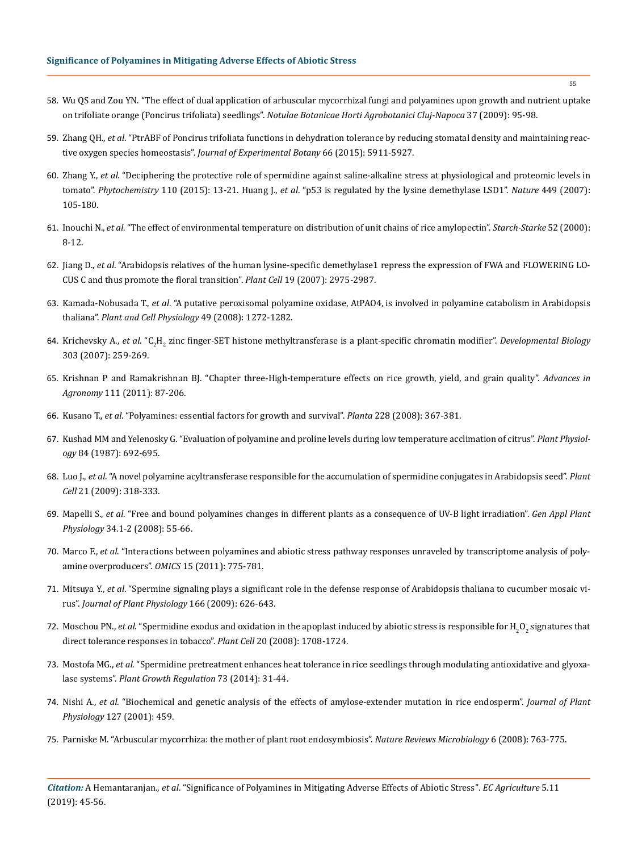- 58. [Wu QS and Zou YN. "The effect of dual application of arbuscular mycorrhizal fungi and polyamines upon growth and nutrient uptake](https://www.researchgate.net/publication/307704684_The_effect_of_Dual_Application_of_Arbuscular_Mycorrhizal_Fungi_and_Polyamines_upon_Growth_and_Nutrient_Uptake_on_Trifoliate_Orange_Poncirus_trifoliata_Seedlings) on trifoliate orange (Poncirus trifoliata) seedlings". *[Notulae Botanicae Horti Agrobotanici Cluj-Napoca](https://www.researchgate.net/publication/307704684_The_effect_of_Dual_Application_of_Arbuscular_Mycorrhizal_Fungi_and_Polyamines_upon_Growth_and_Nutrient_Uptake_on_Trifoliate_Orange_Poncirus_trifoliata_Seedlings)* 37 (2009): 95-98.
- 59. Zhang QH., *et al*[. "PtrABF of Poncirus trifoliata functions in dehydration tolerance by reducing stomatal density and maintaining reac](https://www.ncbi.nlm.nih.gov/pubmed/26116025)tive oxygen species homeostasis". *[Journal of Experimental Botany](https://www.ncbi.nlm.nih.gov/pubmed/26116025)* 66 (2015): 5911-5927.
- 60. Zhang Y., *et al*[. "Deciphering the protective role of spermidine against saline-alkaline stress at physiological and proteomic levels in](https://www.ncbi.nlm.nih.gov/pubmed/25579998) tomato". *Phytochemistry* [110 \(2015\): 13-21.](https://www.ncbi.nlm.nih.gov/pubmed/25579998) Huang J., *et al*[. "p53 is regulated by the lysine demethylase LSD1".](https://www.ncbi.nlm.nih.gov/pubmed/17805299) *Nature* 449 (2007): [105-180.](https://www.ncbi.nlm.nih.gov/pubmed/17805299)
- 61. Inouchi N., *et al*[. "The effect of environmental temperature on distribution of unit chains of rice amylopectin".](https://onlinelibrary.wiley.com/doi/abs/10.1002/%28SICI%291521-379X%28200001%2952%3A1%3C8%3A%3AAID-STAR8%3E3.0.CO%3B2-Q) *Starch-Starke* 52 (2000): [8-12.](https://onlinelibrary.wiley.com/doi/abs/10.1002/%28SICI%291521-379X%28200001%2952%3A1%3C8%3A%3AAID-STAR8%3E3.0.CO%3B2-Q)
- 62. Jiang D., *et al*[. "Arabidopsis relatives of the human lysine-specific demethylase1 repress the expression of FWA and FLOWERING LO](http://www.plantcell.org/content/19/10/2975)-[CUS C and thus promote the floral transition".](http://www.plantcell.org/content/19/10/2975) *Plant Cell* 19 (2007): 2975-2987.
- 63. Kamada-Nobusada T., *et al*[. "A putative peroxisomal polyamine oxidase, AtPAO4, is involved in polyamine catabolism in Arabidopsis](https://www.ncbi.nlm.nih.gov/pubmed/18703589) thaliana". *[Plant and Cell Physiology](https://www.ncbi.nlm.nih.gov/pubmed/18703589)* 49 (2008): 1272-1282.
- 64. Krichevsky A., *et al*. "C<sub>2</sub>H<sub>2</sub> [zinc finger-SET histone methyltransferase is a plant-specific chromatin modifier".](https://www.ncbi.nlm.nih.gov/pubmed/17224141) *Developmental Biology* [303 \(2007\): 259-269.](https://www.ncbi.nlm.nih.gov/pubmed/17224141)
- 65. [Krishnan P and Ramakrishnan BJ. "Chapter three-High-temperature effects on rice growth, yield, and grain quality".](https://www.cabdirect.org/cabdirect/abstract/20113146811) *Advances in Agronomy* [111 \(2011\): 87-206.](https://www.cabdirect.org/cabdirect/abstract/20113146811)
- 66. Kusano T., *et al*[. "Polyamines: essential factors for growth and survival".](https://www.ncbi.nlm.nih.gov/pubmed/18594857) *Planta* 228 (2008): 367-381.
- 67. [Kushad MM and Yelenosky G. "Evaluation of polyamine and proline levels during low temperature acclimation of citrus".](https://www.ncbi.nlm.nih.gov/pubmed/16665504) *Plant Physiology* [84 \(1987\): 692-695.](https://www.ncbi.nlm.nih.gov/pubmed/16665504)
- 68. Luo J., *et al*[. "A novel polyamine acyltransferase responsible for the accumulation of spermidine conjugates in Arabidopsis seed".](http://www.plantcell.org/content/21/1/318) *Plant Cell* [21 \(2009\): 318-333.](http://www.plantcell.org/content/21/1/318)
- 69. Mapelli S., *et al*[. "Free and bound polyamines changes in different plants as a consequence of UV-B light irradiation".](https://www.semanticscholar.org/paper/FREE-AND-BOUND-POLYAMINES-CHANGES-IN-DIFFERENT-AS-A-Mapelli-Brambilla/30e2c379b4da79f3d8a67a0b759715748aa20e0a) *Gen Appl Plant Physiology* [34.1-2 \(2008\): 55-66.](https://www.semanticscholar.org/paper/FREE-AND-BOUND-POLYAMINES-CHANGES-IN-DIFFERENT-AS-A-Mapelli-Brambilla/30e2c379b4da79f3d8a67a0b759715748aa20e0a)
- 70. Marco F., *et al*[. "Interactions between polyamines and abiotic stress pathway responses unraveled by transcriptome analysis of poly](https://www.ncbi.nlm.nih.gov/pubmed/22011340)[amine overproducers".](https://www.ncbi.nlm.nih.gov/pubmed/22011340) *OMICS* 15 (2011): 775-781.
- 71. Mitsuya Y., *et al*[. "Spermine signaling plays a significant role in the defense response of Arabidopsis thaliana to cucumber mosaic vi](https://www.ncbi.nlm.nih.gov/pubmed/18922600)rus". *Journal of Plant Physiology* [166 \(2009\): 626-643.](https://www.ncbi.nlm.nih.gov/pubmed/18922600)
- 72. Moschou PN., *et al*. "Spermidine exodus and oxidation in the apoplast induced by abiotic stress is responsible for  ${\rm H_2O_2}$  signatures that [direct tolerance responses in tobacco".](https://www.ncbi.nlm.nih.gov/pubmed/18577660) *Plant Cell* 20 (2008): 1708-1724.
- 73. Mostofa MG., *et al*[. "Spermidine pretreatment enhances heat tolerance in rice seedlings through modulating antioxidative and glyoxa](https://link.springer.com/article/10.1007/s10725-013-9865-9)lase systems". *[Plant Growth Regulation](https://link.springer.com/article/10.1007/s10725-013-9865-9)* 73 (2014): 31-44.
- 74. Nishi A., *et al*[. "Biochemical and genetic analysis of the effects of amylose-extender mutation in rice endosperm".](https://www.ncbi.nlm.nih.gov/pubmed/11598221) *Journal of Plant Physiology* [127 \(2001\): 459.](https://www.ncbi.nlm.nih.gov/pubmed/11598221)
- 75. [Parniske M. "Arbuscular mycorrhiza: the mother of plant root endosymbiosis".](https://www.ncbi.nlm.nih.gov/pubmed/18794914) *Nature Reviews Microbiology* 6 (2008): 763-775.